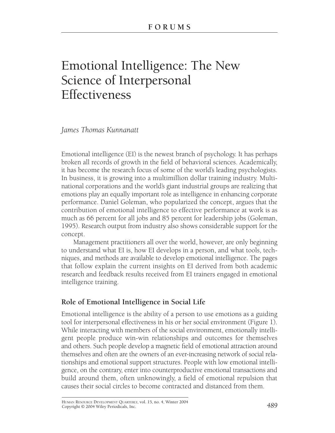# Emotional Intelligence: The New Science of Interpersonal Effectiveness

*James Thomas Kunnanatt*

Emotional intelligence (EI) is the newest branch of psychology. It has perhaps broken all records of growth in the field of behavioral sciences. Academically, it has become the research focus of some of the world's leading psychologists. In business, it is growing into a multimillion dollar training industry. Multinational corporations and the world's giant industrial groups are realizing that emotions play an equally important role as intelligence in enhancing corporate performance. Daniel Goleman, who popularized the concept, argues that the contribution of emotional intelligence to effective performance at work is as much as 66 percent for all jobs and 85 percent for leadership jobs (Goleman, 1995). Research output from industry also shows considerable support for the concept.

Management practitioners all over the world, however, are only beginning to understand what EI is, how EI develops in a person, and what tools, techniques, and methods are available to develop emotional intelligence. The pages that follow explain the current insights on EI derived from both academic research and feedback results received from EI trainers engaged in emotional intelligence training.

# **Role of Emotional Intelligence in Social Life**

Emotional intelligence is the ability of a person to use emotions as a guiding tool for interpersonal effectiveness in his or her social environment (Figure 1). While interacting with members of the social environment, emotionally intelligent people produce win-win relationships and outcomes for themselves and others. Such people develop a magnetic field of emotional attraction around themselves and often are the owners of an ever-increasing network of social relationships and emotional support structures. People with low emotional intelligence, on the contrary, enter into counterproductive emotional transactions and build around them, often unknowingly, a field of emotional repulsion that causes their social circles to become contracted and distanced from them.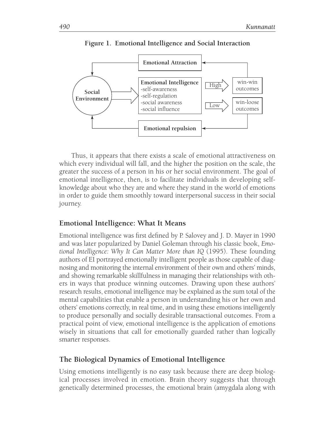

**Figure 1. Emotional Intelligence and Social Interaction**

Thus, it appears that there exists a scale of emotional attractiveness on which every individual will fall, and the higher the position on the scale, the greater the success of a person in his or her social environment. The goal of emotional intelligence, then, is to facilitate individuals in developing selfknowledge about who they are and where they stand in the world of emotions in order to guide them smoothly toward interpersonal success in their social journey.

## **Emotional Intelligence: What It Means**

Emotional intelligence was first defined by P. Salovey and J. D. Mayer in 1990 and was later popularized by Daniel Goleman through his classic book, *Emotional Intelligence: Why It Can Matter More than IQ* (1995). These founding authors of EI portrayed emotionally intelligent people as those capable of diagnosing and monitoring the internal environment of their own and others'minds, and showing remarkable skillfulness in managing their relationships with others in ways that produce winning outcomes. Drawing upon these authors' research results, emotional intelligence may be explained as the sum total of the mental capabilities that enable a person in understanding his or her own and others'emotions correctly, in real time, and in using these emotions intelligently to produce personally and socially desirable transactional outcomes. From a practical point of view, emotional intelligence is the application of emotions wisely in situations that call for emotionally guarded rather than logically smarter responses.

#### **The Biological Dynamics of Emotional Intelligence**

Using emotions intelligently is no easy task because there are deep biological processes involved in emotion. Brain theory suggests that through genetically determined processes, the emotional brain (amygdala along with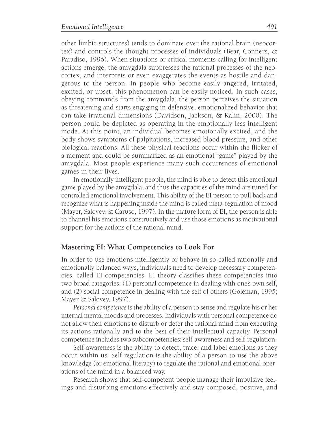other limbic structures) tends to dominate over the rational brain (neocortex) and controls the thought processes of individuals (Bear, Conners, & Paradiso, 1996). When situations or critical moments calling for intelligent actions emerge, the amygdala suppresses the rational processes of the neocortex, and interprets or even exaggerates the events as hostile and dangerous to the person. In people who become easily angered, irritated, excited, or upset, this phenomenon can be easily noticed. In such cases, obeying commands from the amygdala, the person perceives the situation as threatening and starts engaging in defensive, emotionalized behavior that can take irrational dimensions (Davidson, Jackson, & Kalin, 2000). The person could be depicted as operating in the emotionally less intelligent mode. At this point, an individual becomes emotionally excited, and the body shows symptoms of palpitations, increased blood pressure, and other biological reactions. All these physical reactions occur within the flicker of a moment and could be summarized as an emotional "game" played by the amygdala. Most people experience many such occurrences of emotional games in their lives.

In emotionally intelligent people, the mind is able to detect this emotional game played by the amygdala, and thus the capacities of the mind are tuned for controlled emotional involvement. This ability of the EI person to pull back and recognize what is happening inside the mind is called meta-regulation of mood (Mayer, Salovey, & Caruso, 1997). In the mature form of EI, the person is able to channel his emotions constructively and use those emotions as motivational support for the actions of the rational mind.

# **Mastering EI: What Competencies to Look For**

In order to use emotions intelligently or behave in so-called rationally and emotionally balanced ways, individuals need to develop necessary competencies, called EI competencies. EI theory classifies these competencies into two broad categories: (1) personal competence in dealing with one's own self, and (2) social competence in dealing with the self of others (Goleman, 1995; Mayer & Salovey, 1997).

*Personal competence*is the ability of a person to sense and regulate his or her internal mental moods and processes. Individuals with personal competence do not allow their emotions to disturb or deter the rational mind from executing its actions rationally and to the best of their intellectual capacity. Personal competence includes two subcompetencies: self-awareness and self-regulation.

Self-awareness is the ability to detect, trace, and label emotions as they occur within us. Self-regulation is the ability of a person to use the above knowledge (or emotional literacy) to regulate the rational and emotional operations of the mind in a balanced way.

Research shows that self-competent people manage their impulsive feelings and disturbing emotions effectively and stay composed, positive, and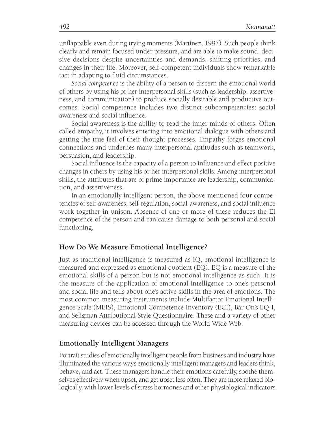unflappable even during trying moments (Martinez, 1997). Such people think clearly and remain focused under pressure, and are able to make sound, decisive decisions despite uncertainties and demands, shifting priorities, and changes in their life. Moreover, self-competent individuals show remarkable tact in adapting to fluid circumstances.

*Social competence* is the ability of a person to discern the emotional world of others by using his or her interpersonal skills (such as leadership, assertiveness, and communication) to produce socially desirable and productive outcomes. Social competence includes two distinct subcompetencies: social awareness and social influence.

Social awareness is the ability to read the inner minds of others. Often called empathy, it involves entering into emotional dialogue with others and getting the true feel of their thought processes. Empathy forges emotional connections and underlies many interpersonal aptitudes such as teamwork, persuasion, and leadership.

Social influence is the capacity of a person to influence and effect positive changes in others by using his or her interpersonal skills. Among interpersonal skills, the attributes that are of prime importance are leadership, communication, and assertiveness.

In an emotionally intelligent person, the above-mentioned four competencies of self-awareness, self-regulation, social-awareness, and social influence work together in unison. Absence of one or more of these reduces the EI competence of the person and can cause damage to both personal and social functioning.

#### **How Do We Measure Emotional Intelligence?**

Just as traditional intelligence is measured as IQ, emotional intelligence is measured and expressed as emotional quotient (EQ). EQ is a measure of the emotional skills of a person but is not emotional intelligence as such. It is the measure of the application of emotional intelligence to one's personal and social life and tells about one's active skills in the area of emotions. The most common measuring instruments include Multifactor Emotional Intelligence Scale (MEIS), Emotional Competence Inventory (ECI), Bar-On's EQ-I, and Seligman Attributional Style Questionnaire. These and a variety of other measuring devices can be accessed through the World Wide Web.

#### **Emotionally Intelligent Managers**

Portrait studies of emotionally intelligent people from business and industry have illuminated the various ways emotionally intelligent managers and leaders think, behave, and act. These managers handle their emotions carefully, soothe themselves effectively when upset, and get upset less often. They are more relaxed biologically, with lower levels of stress hormones and other physiological indicators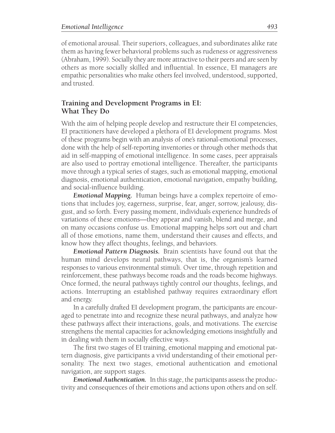of emotional arousal. Their superiors, colleagues, and subordinates alike rate them as having fewer behavioral problems such as rudeness or aggressiveness (Abraham, 1999). Socially they are more attractive to their peers and are seen by others as more socially skilled and influential. In essence, EI managers are empathic personalities who make others feel involved, understood, supported, and trusted.

# **Training and Development Programs in EI: What They Do**

With the aim of helping people develop and restructure their EI competencies, EI practitioners have developed a plethora of EI development programs. Most of these programs begin with an analysis of one's rational-emotional processes, done with the help of self-reporting inventories or through other methods that aid in self-mapping of emotional intelligence. In some cases, peer appraisals are also used to portray emotional intelligence. Thereafter, the participants move through a typical series of stages, such as emotional mapping, emotional diagnosis, emotional authentication, emotional navigation, empathy building, and social-influence building.

*Emotional Mapping.* Human beings have a complex repertoire of emotions that includes joy, eagerness, surprise, fear, anger, sorrow, jealousy, disgust, and so forth. Every passing moment, individuals experience hundreds of variations of these emotions—they appear and vanish, blend and merge, and on many occasions confuse us. Emotional mapping helps sort out and chart all of those emotions, name them, understand their causes and effects, and know how they affect thoughts, feelings, and behaviors.

*Emotional Pattern Diagnosis.* Brain scientists have found out that the human mind develops neural pathways, that is, the organism's learned responses to various environmental stimuli. Over time, through repetition and reinforcement, these pathways become roads and the roads become highways. Once formed, the neural pathways tightly control our thoughts, feelings, and actions. Interrupting an established pathway requires extraordinary effort and energy.

In a carefully drafted EI development program, the participants are encouraged to penetrate into and recognize these neural pathways, and analyze how these pathways affect their interactions, goals, and motivations. The exercise strengthens the mental capacities for acknowledging emotions insightfully and in dealing with them in socially effective ways.

The first two stages of EI training, emotional mapping and emotional pattern diagnosis, give participants a vivid understanding of their emotional personality. The next two stages, emotional authentication and emotional navigation, are support stages.

*Emotional Authentication.* In this stage, the participants assess the productivity and consequences of their emotions and actions upon others and on self.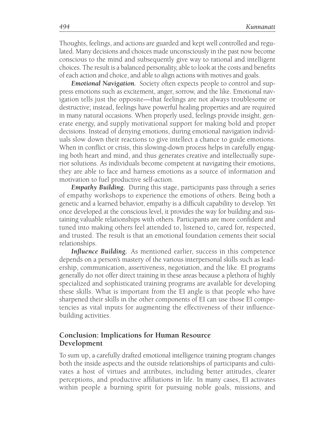Thoughts, feelings, and actions are guarded and kept well controlled and regulated. Many decisions and choices made unconsciously in the past now become conscious to the mind and subsequently give way to rational and intelligent choices. The result is a balanced personality, able to look at the costs and benefits of each action and choice, and able to align actions with motives and goals.

*Emotional Navigation.* Society often expects people to control and suppress emotions such as excitement, anger, sorrow, and the like. Emotional navigation tells just the opposite—that feelings are not always troublesome or destructive; instead, feelings have powerful healing properties and are required in many natural occasions. When properly used, feelings provide insight, generate energy, and supply motivational support for making bold and proper decisions. Instead of denying emotions, during emotional navigation individuals slow down their reactions to give intellect a chance to guide emotions. When in conflict or crisis, this slowing-down process helps in carefully engaging both heart and mind, and thus generates creative and intellectually superior solutions. As individuals become competent at navigating their emotions, they are able to face and harness emotions as a source of information and motivation to fuel productive self-action.

*Empathy Building.* During this stage, participants pass through a series of empathy workshops to experience the emotions of others. Being both a genetic and a learned behavior, empathy is a difficult capability to develop. Yet once developed at the conscious level, it provides the way for building and sustaining valuable relationships with others. Participants are more confident and tuned into making others feel attended to, listened to, cared for, respected, and trusted. The result is that an emotional foundation cements their social relationships.

*Influence Building.* As mentioned earlier, success in this competence depends on a person's mastery of the various interpersonal skills such as leadership, communication, assertiveness, negotiation, and the like. EI programs generally do not offer direct training in these areas because a plethora of highly specialized and sophisticated training programs are available for developing these skills. What is important from the EI angle is that people who have sharpened their skills in the other components of EI can use those EI competencies as vital inputs for augmenting the effectiveness of their influencebuilding activities.

## **Conclusion: Implications for Human Resource Development**

To sum up, a carefully drafted emotional intelligence training program changes both the inside aspects and the outside relationships of participants and cultivates a host of virtues and attributes, including better attitudes, clearer perceptions, and productive affiliations in life. In many cases, EI activates within people a burning spirit for pursuing noble goals, missions, and